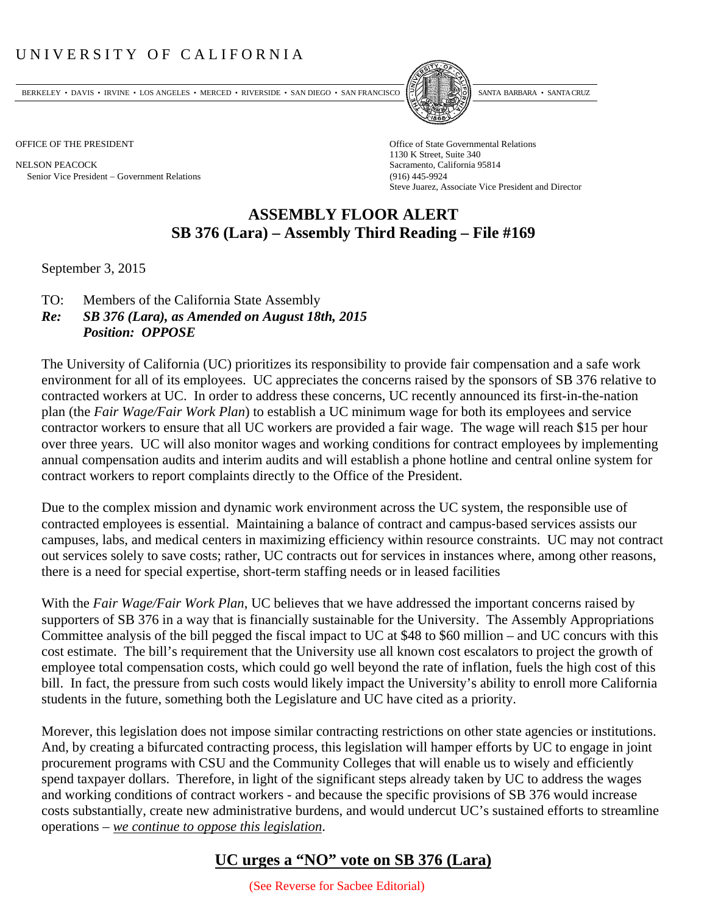## UNIVERSITY OF CALIFORNIA

BERKELEY • DAVIS • IRVINE • LOS ANGELES • MERCED • RIVERSIDE • SAN DIEGO • SAN FRANCISCO PARTA EXIMITAL BARBARA • SANTA CRUZ

NELSON PEACOCK Sacramento, California 95814 Senior Vice President Government Relations (916) 445-9924



OFFICE OF THE PRESIDENT STATES OF THE PRESIDENT 1130 K Street, Suite 340 Steve Juarez, Associate Vice President and Director

## **ASSEMBLY FLOOR ALERT SB 376 (Lara) – Assembly Third Reading – File #169**

September 3, 2015

- TO: Members of the California State Assembly
- *Re: SB 376 (Lara), as Amended on August 18th, 2015 Position: OPPOSE*

The University of California (UC) prioritizes its responsibility to provide fair compensation and a safe work environment for all of its employees. UC appreciates the concerns raised by the sponsors of SB 376 relative to contracted workers at UC. In order to address these concerns, UC recently announced its first-in-the-nation plan (the *Fair Wage/Fair Work Plan*) to establish a UC minimum wage for both its employees and service contractor workers to ensure that all UC workers are provided a fair wage. The wage will reach \$15 per hour over three years. UC will also monitor wages and working conditions for contract employees by implementing annual compensation audits and interim audits and will establish a phone hotline and central online system for contract workers to report complaints directly to the Office of the President.

Due to the complex mission and dynamic work environment across the UC system, the responsible use of contracted employees is essential. Maintaining a balance of contract and campus‐based services assists our campuses, labs, and medical centers in maximizing efficiency within resource constraints. UC may not contract out services solely to save costs; rather, UC contracts out for services in instances where, among other reasons, there is a need for special expertise, short-term staffing needs or in leased facilities

With the *Fair Wage/Fair Work Plan*, UC believes that we have addressed the important concerns raised by supporters of SB 376 in a way that is financially sustainable for the University. The Assembly Appropriations Committee analysis of the bill pegged the fiscal impact to UC at \$48 to \$60 million – and UC concurs with this cost estimate. The bill's requirement that the University use all known cost escalators to project the growth of employee total compensation costs, which could go well beyond the rate of inflation, fuels the high cost of this bill. In fact, the pressure from such costs would likely impact the University's ability to enroll more California students in the future, something both the Legislature and UC have cited as a priority.

Morever, this legislation does not impose similar contracting restrictions on other state agencies or institutions. And, by creating a bifurcated contracting process, this legislation will hamper efforts by UC to engage in joint procurement programs with CSU and the Community Colleges that will enable us to wisely and efficiently spend taxpayer dollars. Therefore, in light of the significant steps already taken by UC to address the wages and working conditions of contract workers - and because the specific provisions of SB 376 would increase costs substantially, create new administrative burdens, and would undercut UC's sustained efforts to streamline operations – *we continue to oppose this legislation*.

## **UC urges a "NO" vote on SB 376 (Lara)**